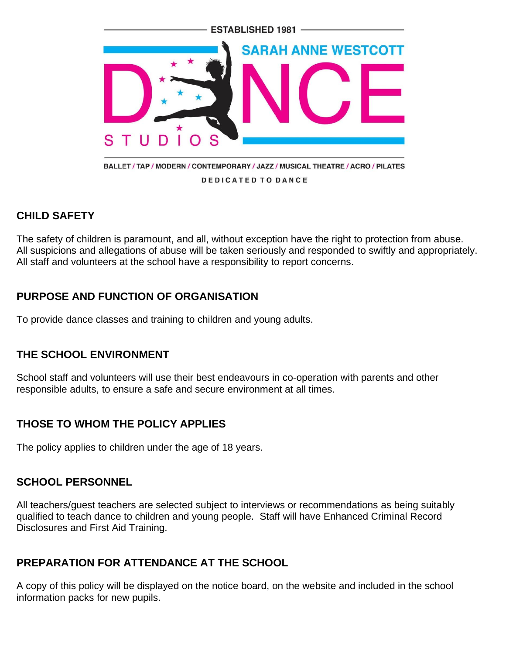

### **CHILD SAFETY**

The safety of children is paramount, and all, without exception have the right to protection from abuse. All suspicions and allegations of abuse will be taken seriously and responded to swiftly and appropriately. All staff and volunteers at the school have a responsibility to report concerns.

# **PURPOSE AND FUNCTION OF ORGANISATION**

To provide dance classes and training to children and young adults.

# **THE SCHOOL ENVIRONMENT**

School staff and volunteers will use their best endeavours in co-operation with parents and other responsible adults, to ensure a safe and secure environment at all times.

# **THOSE TO WHOM THE POLICY APPLIES**

The policy applies to children under the age of 18 years.

#### **SCHOOL PERSONNEL**

All teachers/guest teachers are selected subject to interviews or recommendations as being suitably qualified to teach dance to children and young people. Staff will have Enhanced Criminal Record Disclosures and First Aid Training.

# **PREPARATION FOR ATTENDANCE AT THE SCHOOL**

A copy of this policy will be displayed on the notice board, on the website and included in the school information packs for new pupils.